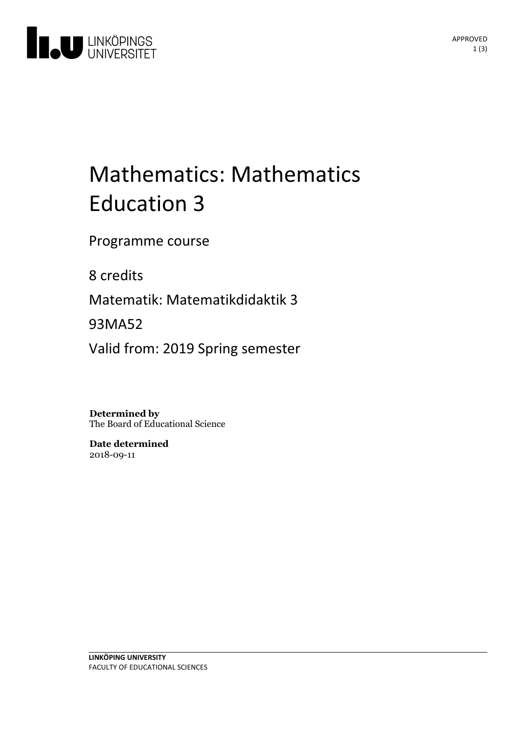

# Mathematics: Mathematics Education 3

Programme course

8 credits

Matematik: Matematikdidaktik 3

93MA52

Valid from: 2019 Spring semester

**Determined by** The Board of Educational Science

**Date determined** 2018-09-11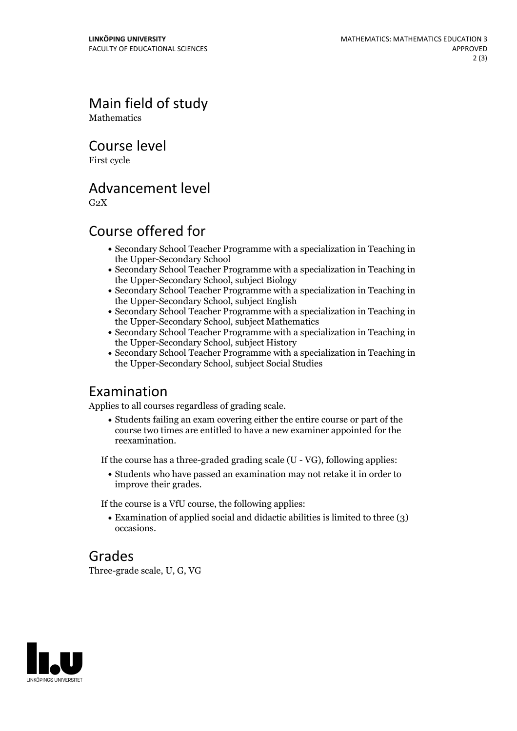Main field of study **Mathematics** 

Course level

First cycle

#### Advancement level

 $G<sub>2</sub>X$ 

### Course offered for

- Secondary School Teacher Programme with a specialization in Teaching in the Upper-Secondary School
- Secondary School Teacher Programme with a specialization in Teaching in the Upper-Secondary School, subject Biology
- Secondary School Teacher Programme with a specialization in Teaching in the Upper-Secondary School, subject English
- Secondary School Teacher Programme with a specialization in Teaching in the Upper-Secondary School, subject Mathematics
- Secondary School Teacher Programme with a specialization in Teaching in the Upper-Secondary School, subject History
- Secondary School Teacher Programme with a specialization in Teaching in the Upper-Secondary School, subject Social Studies

### Examination

Applies to all courses regardless of grading scale.

Students failing an exam covering either the entire course or part of the course two times are entitled to have a new examiner appointed for the reexamination.

If the course has a three-graded grading scale (U - VG), following applies:

Students who have passed an examination may not retake it in order to improve their grades.

If the course is a VfU course, the following applies:

Examination of applied social and didactic abilities is limited to three (3) occasions.

### Grades

Three-grade scale, U, G, VG